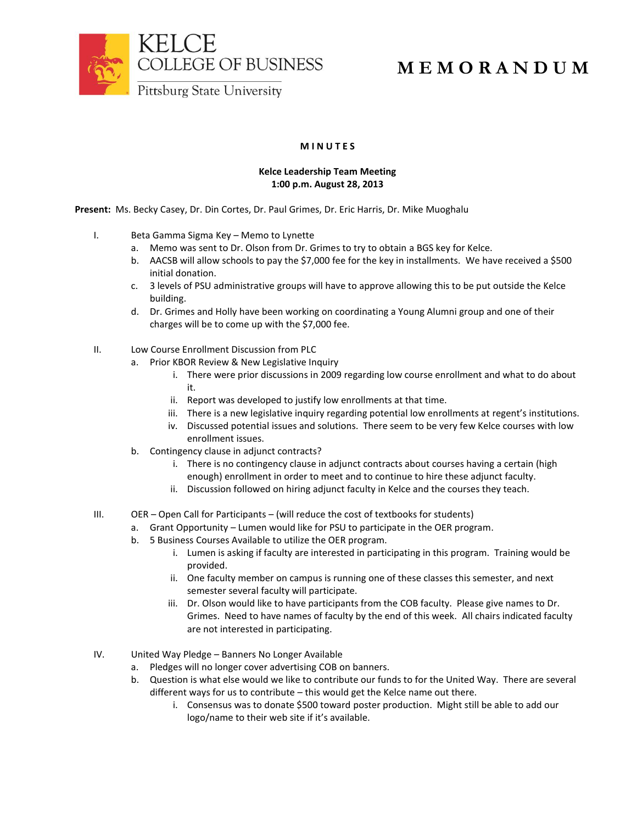



## **M E M O R A N D U M**

## **M I N U T E S**

## **Kelce Leadership Team Meeting 1:00 p.m. August 28, 2013**

**Present:** Ms. Becky Casey, Dr. Din Cortes, Dr. Paul Grimes, Dr. Eric Harris, Dr. Mike Muoghalu

- I. Beta Gamma Sigma Key Memo to Lynette
	- a. Memo was sent to Dr. Olson from Dr. Grimes to try to obtain a BGS key for Kelce.
	- b. AACSB will allow schools to pay the \$7,000 fee for the key in installments. We have received a \$500 initial donation.
	- c. 3 levels of PSU administrative groups will have to approve allowing this to be put outside the Kelce building.
	- d. Dr. Grimes and Holly have been working on coordinating a Young Alumni group and one of their charges will be to come up with the \$7,000 fee.
- II. Low Course Enrollment Discussion from PLC
	- a. Prior KBOR Review & New Legislative Inquiry
		- i. There were prior discussions in 2009 regarding low course enrollment and what to do about it.
		- ii. Report was developed to justify low enrollments at that time.
		- iii. There is a new legislative inquiry regarding potential low enrollments at regent's institutions.
		- iv. Discussed potential issues and solutions. There seem to be very few Kelce courses with low enrollment issues.
	- b. Contingency clause in adjunct contracts?
		- i. There is no contingency clause in adjunct contracts about courses having a certain (high enough) enrollment in order to meet and to continue to hire these adjunct faculty.
		- ii. Discussion followed on hiring adjunct faculty in Kelce and the courses they teach.
- III. OER Open Call for Participants (will reduce the cost of textbooks for students)
	- a. Grant Opportunity Lumen would like for PSU to participate in the OER program.
		- b. 5 Business Courses Available to utilize the OER program.
			- i. Lumen is asking if faculty are interested in participating in this program. Training would be provided.
			- ii. One faculty member on campus is running one of these classes this semester, and next semester several faculty will participate.
			- iii. Dr. Olson would like to have participants from the COB faculty. Please give names to Dr. Grimes. Need to have names of faculty by the end of this week. All chairs indicated faculty are not interested in participating.
- IV. United Way Pledge Banners No Longer Available
	- a. Pledges will no longer cover advertising COB on banners.
	- b. Question is what else would we like to contribute our funds to for the United Way. There are several different ways for us to contribute – this would get the Kelce name out there.
		- i. Consensus was to donate \$500 toward poster production. Might still be able to add our logo/name to their web site if it's available.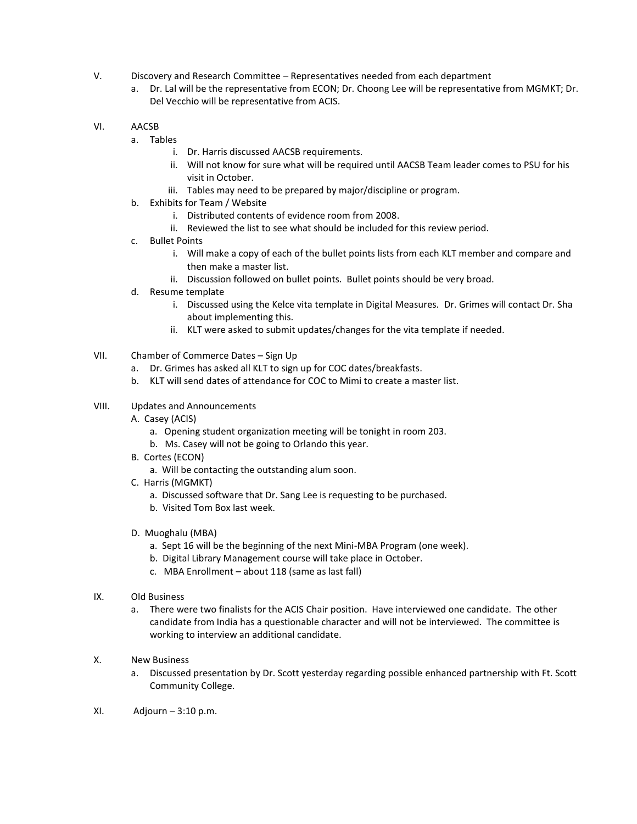- V. Discovery and Research Committee Representatives needed from each department
	- a. Dr. Lal will be the representative from ECON; Dr. Choong Lee will be representative from MGMKT; Dr. Del Vecchio will be representative from ACIS.
- VI. AACSB
	- a. Tables
		- i. Dr. Harris discussed AACSB requirements.
		- ii. Will not know for sure what will be required until AACSB Team leader comes to PSU for his visit in October.
		- iii. Tables may need to be prepared by major/discipline or program.
	- b. Exhibits for Team / Website
		- i. Distributed contents of evidence room from 2008.
		- ii. Reviewed the list to see what should be included for this review period.
	- c. Bullet Points
		- i. Will make a copy of each of the bullet points lists from each KLT member and compare and then make a master list.
		- ii. Discussion followed on bullet points. Bullet points should be very broad.
	- d. Resume template
		- i. Discussed using the Kelce vita template in Digital Measures. Dr. Grimes will contact Dr. Sha about implementing this.
		- ii. KLT were asked to submit updates/changes for the vita template if needed.
- VII. Chamber of Commerce Dates Sign Up
	- a. Dr. Grimes has asked all KLT to sign up for COC dates/breakfasts.
	- b. KLT will send dates of attendance for COC to Mimi to create a master list.

## VIII. Updates and Announcements

- A. Casey (ACIS)
	- a. Opening student organization meeting will be tonight in room 203.
	- b. Ms. Casey will not be going to Orlando this year.
- B. Cortes (ECON)
	- a. Will be contacting the outstanding alum soon.
- C. Harris (MGMKT)
	- a. Discussed software that Dr. Sang Lee is requesting to be purchased.
	- b. Visited Tom Box last week.
- D. Muoghalu (MBA)
	- a. Sept 16 will be the beginning of the next Mini-MBA Program (one week).
	- b. Digital Library Management course will take place in October.
	- c. MBA Enrollment about 118 (same as last fall)
- IX. Old Business
	- a. There were two finalists for the ACIS Chair position. Have interviewed one candidate. The other candidate from India has a questionable character and will not be interviewed. The committee is working to interview an additional candidate.
- X. New Business
	- a. Discussed presentation by Dr. Scott yesterday regarding possible enhanced partnership with Ft. Scott Community College.
- $XI.$  Adjourn 3:10 p.m.